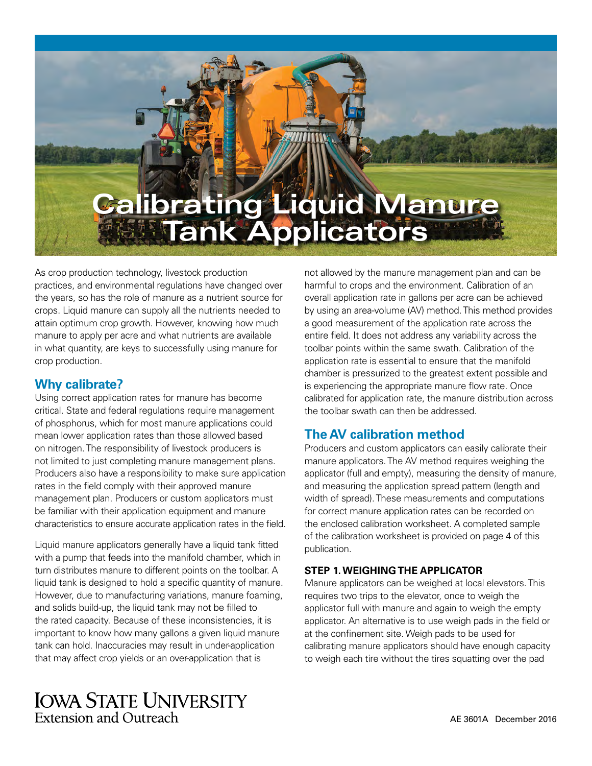

As crop production technology, livestock production practices, and environmental regulations have changed over the years, so has the role of manure as a nutrient source for crops. Liquid manure can supply all the nutrients needed to attain optimum crop growth. However, knowing how much manure to apply per acre and what nutrients are available in what quantity, are keys to successfully using manure for crop production.

#### **Why calibrate?**

Using correct application rates for manure has become critical. State and federal regulations require management of phosphorus, which for most manure applications could mean lower application rates than those allowed based on nitrogen. The responsibility of livestock producers is not limited to just completing manure management plans. Producers also have a responsibility to make sure application rates in the field comply with their approved manure management plan. Producers or custom applicators must be familiar with their application equipment and manure characteristics to ensure accurate application rates in the field.

Liquid manure applicators generally have a liquid tank fitted with a pump that feeds into the manifold chamber, which in turn distributes manure to different points on the toolbar. A liquid tank is designed to hold a specific quantity of manure. However, due to manufacturing variations, manure foaming, and solids build-up, the liquid tank may not be filled to the rated capacity. Because of these inconsistencies, it is important to know how many gallons a given liquid manure tank can hold. Inaccuracies may result in under-application that may affect crop yields or an over-application that is

not allowed by the manure management plan and can be harmful to crops and the environment. Calibration of an overall application rate in gallons per acre can be achieved by using an area-volume (AV) method. This method provides a good measurement of the application rate across the entire field. It does not address any variability across the toolbar points within the same swath. Calibration of the application rate is essential to ensure that the manifold chamber is pressurized to the greatest extent possible and is experiencing the appropriate manure flow rate. Once calibrated for application rate, the manure distribution across the toolbar swath can then be addressed.

## **The AV calibration method**

Producers and custom applicators can easily calibrate their manure applicators. The AV method requires weighing the applicator (full and empty), measuring the density of manure, and measuring the application spread pattern (length and width of spread). These measurements and computations for correct manure application rates can be recorded on the enclosed calibration worksheet. A completed sample of the calibration worksheet is provided on page 4 of this publication.

#### **STEP 1. WEIGHING THE APPLICATOR**

Manure applicators can be weighed at local elevators. This requires two trips to the elevator, once to weigh the applicator full with manure and again to weigh the empty applicator. An alternative is to use weigh pads in the field or at the confinement site. Weigh pads to be used for calibrating manure applicators should have enough capacity to weigh each tire without the tires squatting over the pad

## **IOWA STATE UNIVERSITY Extension and Outreach**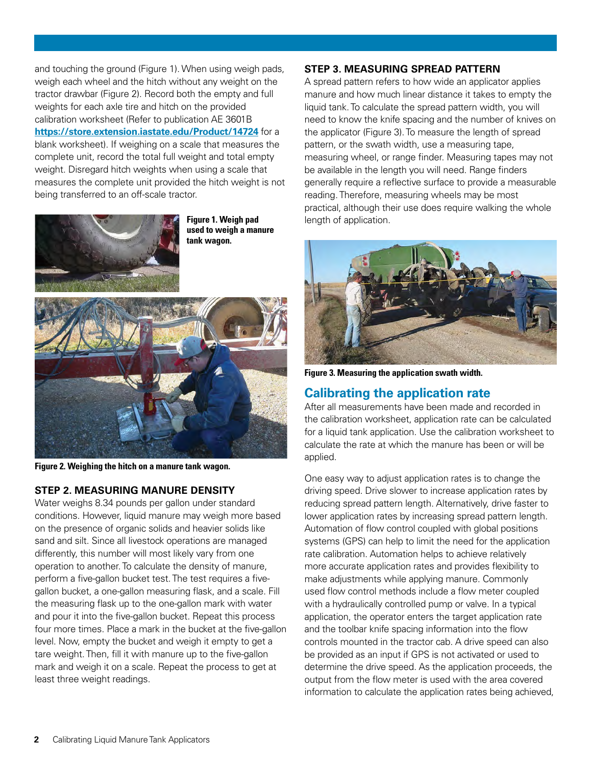and touching the ground (Figure 1). When using weigh pads, weigh each wheel and the hitch without any weight on the tractor drawbar (Figure 2). Record both the empty and full weights for each axle tire and hitch on the provided calibration worksheet (Refer to publication AE 3601B **<https://store.extension.iastate.edu/Product/14724>** for a blank worksheet). If weighing on a scale that measures the complete unit, record the total full weight and total empty weight. Disregard hitch weights when using a scale that measures the complete unit provided the hitch weight is not being transferred to an off-scale tractor.



**Figure 1. Weigh pad used to weigh a manure tank wagon.**



**Figure 2. Weighing the hitch on a manure tank wagon.**

#### **STEP 2. MEASURING MANURE DENSITY**

Water weighs 8.34 pounds per gallon under standard conditions. However, liquid manure may weigh more based on the presence of organic solids and heavier solids like sand and silt. Since all livestock operations are managed differently, this number will most likely vary from one operation to another. To calculate the density of manure, perform a five-gallon bucket test. The test requires a fivegallon bucket, a one-gallon measuring flask, and a scale. Fill the measuring flask up to the one-gallon mark with water and pour it into the five-gallon bucket. Repeat this process four more times. Place a mark in the bucket at the five-gallon level. Now, empty the bucket and weigh it empty to get a tare weight. Then, fill it with manure up to the five-gallon mark and weigh it on a scale. Repeat the process to get at least three weight readings.

#### **STEP 3. MEASURING SPREAD PATTERN**

A spread pattern refers to how wide an applicator applies manure and how much linear distance it takes to empty the liquid tank. To calculate the spread pattern width, you will need to know the knife spacing and the number of knives on the applicator (Figure 3). To measure the length of spread pattern, or the swath width, use a measuring tape, measuring wheel, or range finder. Measuring tapes may not be available in the length you will need. Range finders generally require a reflective surface to provide a measurable reading. Therefore, measuring wheels may be most practical, although their use does require walking the whole length of application.



**Figure 3. Measuring the application swath width.**

#### **Calibrating the application rate**

After all measurements have been made and recorded in the calibration worksheet, application rate can be calculated for a liquid tank application. Use the calibration worksheet to calculate the rate at which the manure has been or will be applied.

One easy way to adjust application rates is to change the driving speed. Drive slower to increase application rates by reducing spread pattern length. Alternatively, drive faster to lower application rates by increasing spread pattern length. Automation of flow control coupled with global positions systems (GPS) can help to limit the need for the application rate calibration. Automation helps to achieve relatively more accurate application rates and provides flexibility to make adjustments while applying manure. Commonly used flow control methods include a flow meter coupled with a hydraulically controlled pump or valve. In a typical application, the operator enters the target application rate and the toolbar knife spacing information into the flow controls mounted in the tractor cab. A drive speed can also be provided as an input if GPS is not activated or used to determine the drive speed. As the application proceeds, the output from the flow meter is used with the area covered information to calculate the application rates being achieved,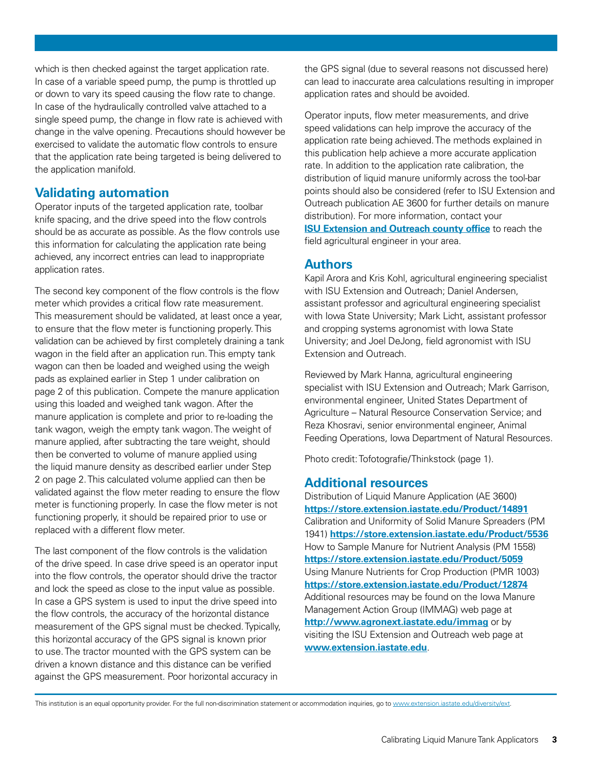which is then checked against the target application rate. In case of a variable speed pump, the pump is throttled up or down to vary its speed causing the flow rate to change. In case of the hydraulically controlled valve attached to a single speed pump, the change in flow rate is achieved with change in the valve opening. Precautions should however be exercised to validate the automatic flow controls to ensure that the application rate being targeted is being delivered to the application manifold.

### **Validating automation**

Operator inputs of the targeted application rate, toolbar knife spacing, and the drive speed into the flow controls should be as accurate as possible. As the flow controls use this information for calculating the application rate being achieved, any incorrect entries can lead to inappropriate application rates.

The second key component of the flow controls is the flow meter which provides a critical flow rate measurement. This measurement should be validated, at least once a year, to ensure that the flow meter is functioning properly. This validation can be achieved by first completely draining a tank wagon in the field after an application run. This empty tank wagon can then be loaded and weighed using the weigh pads as explained earlier in Step 1 under calibration on page 2 of this publication. Compete the manure application using this loaded and weighed tank wagon. After the manure application is complete and prior to re-loading the tank wagon, weigh the empty tank wagon. The weight of manure applied, after subtracting the tare weight, should then be converted to volume of manure applied using the liquid manure density as described earlier under Step 2 on page 2. This calculated volume applied can then be validated against the flow meter reading to ensure the flow meter is functioning properly. In case the flow meter is not functioning properly, it should be repaired prior to use or replaced with a different flow meter.

The last component of the flow controls is the validation of the drive speed. In case drive speed is an operator input into the flow controls, the operator should drive the tractor and lock the speed as close to the input value as possible. In case a GPS system is used to input the drive speed into the flow controls, the accuracy of the horizontal distance measurement of the GPS signal must be checked. Typically, this horizontal accuracy of the GPS signal is known prior to use. The tractor mounted with the GPS system can be driven a known distance and this distance can be verified against the GPS measurement. Poor horizontal accuracy in

the GPS signal (due to several reasons not discussed here) can lead to inaccurate area calculations resulting in improper application rates and should be avoided.

Operator inputs, flow meter measurements, and drive speed validations can help improve the accuracy of the application rate being achieved. The methods explained in this publication help achieve a more accurate application rate. In addition to the application rate calibration, the distribution of liquid manure uniformly across the tool-bar points should also be considered (refer to ISU Extension and Outreach publication AE 3600 for further details on manure distribution). For more information, contact your **[ISU Extension and Outreach county office](http://www.extension.iastate.edu/content/county-offices)** to reach the field agricultural engineer in your area.

### **Authors**

Kapil Arora and Kris Kohl, agricultural engineering specialist with ISU Extension and Outreach; Daniel Andersen, assistant professor and agricultural engineering specialist with Iowa State University; Mark Licht, assistant professor and cropping systems agronomist with Iowa State University; and Joel DeJong, field agronomist with ISU Extension and Outreach.

Reviewed by Mark Hanna, agricultural engineering specialist with ISU Extension and Outreach; Mark Garrison, environmental engineer, United States Department of Agriculture – Natural Resource Conservation Service; and Reza Khosravi, senior environmental engineer, Animal Feeding Operations, Iowa Department of Natural Resources.

Photo credit: Tofotografie/Thinkstock (page 1).

#### **Additional resources**

Distribution of Liquid Manure Application (AE 3600) **<https://store.extension.iastate.edu/Product/14891>** Calibration and Uniformity of Solid Manure Spreaders (PM 1941) **<https://store.extension.iastate.edu/Product/5536>** How to Sample Manure for Nutrient Analysis (PM 1558) **<https://store.extension.iastate.edu/Product/5059>** Using Manure Nutrients for Crop Production (PMR 1003) **<https://store.extension.iastate.edu/Product/12874>** Additional resources may be found on the Iowa Manure Management Action Group (IMMAG) web page at **<http://www.agronext.iastate.edu/immag>** or by visiting the ISU Extension and Outreach web page at **<www.extension.iastate.edu>**.

This institution is an equal opportunity provider. For the full non-discrimination statement or accommodation inquiries, go to <www.extension.iastate.edu/diversity/ext>.